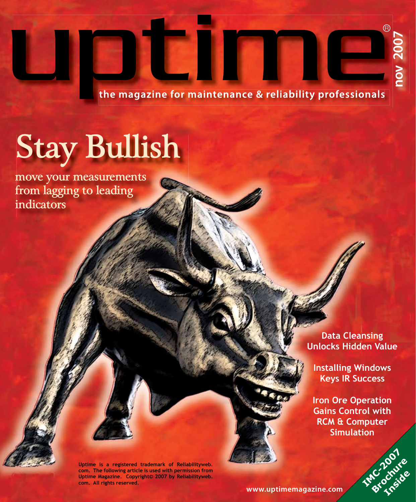**the magazine for maintenance & reliability professionals**

# **[Stay Bullish](www.uptimemagazine.com)**

**move your measurements from lagging to leading indicators**

ti l

**Data Cleansing Unlocks Hidden Value** 

**Installing Windows Keys IR Success**

**Iron Ore Operation Gains Control with RCM & Computer Simulation** 



**Uptime is a registered trademark of Reliabilityweb. com. The following article is used with permission from Uptime Magazine. Copyright© 2007 by Reliabilityweb. com. All rights reserved.**

**www.uptimemagazine.com**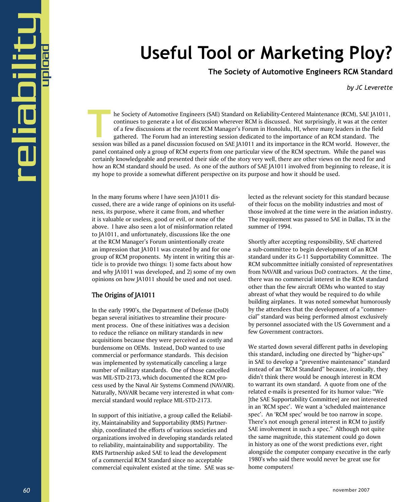## **Useful Tool or Marketing Ploy?**

 **The Society of Automotive Engineers RCM Standard** 

*by JC Leverette*

he Society of Automotive Engineers (SAE) Standard on Reliability-Centered Maintenance (RCM), SAE JA1011, continues to generate a lot of discussion wherever RCM is discussed. Not surprisingly, it was at the center of a few discussions at the recent RCM Manager's Forum in Honolulu, HI, where many leaders in the field gathered. The Forum had an interesting session dedicated to the importance of an RCM standard. The In the Society of Automotive Engineers (SAE) Standard on Reliability-Centered Maintenance (RCM), SAE JA1011, continues to generate a lot of discussion wherever RCM is discussed. Not surprisingly, it was at the center of a panel contained only a group of RCM experts from one particular view of the RCM spectrum. While the panel was certainly knowledgeable and presented their side of the story very well, there are other views on the need for and how an RCM standard should be used. As one of the authors of SAE [A1011 involved from beginning to release, it is my hope to provide a somewhat different perspective on its purpose and how it should be used.

In the many forums where I have seen JA1011 discussed, there are a wide range of opinions on its usefulness, its purpose, where it came from, and whether it is valuable or useless, good or evil, or none of the above. I have also seen a lot of misinformation related to JA1011, and unfortunately, discussions like the one at the RCM Manager's Forum unintentionally create an impression that JA1011 was created by and for one group of RCM proponents. My intent in writing this article is to provide two things: 1) some facts about how and why JA1011 was developed, and 2) some of my own opinions on how JA1011 should be used and not used.

#### **The Origins of JA1011**

In the early 1990's, the Department of Defense (DoD) began several initiatives to streamline their procurement process. One of these initiatives was a decision to reduce the reliance on military standards in new acquisitions because they were perceived as costly and burdensome on OEMs. Instead, DoD wanted to use commercial or performance standards. This decision was implemented by systematically canceling a large number of military standards. One of those cancelled was MIL-STD-2173, which documented the RCM process used by the Naval Air Systems Commend (NAVAIR). Naturally, NAVAIR became very interested in what commercial standard would replace MIL-STD-2173.

In support of this initiative, a group called the Reliability, Maintainability and Supportability (RMS) Partnership, coordinated the efforts of various societies and organizations involved in developing standards related to reliability, maintainability and supportability. The RMS Partnership asked SAE to lead the development of a commercial RCM Standard since no acceptable commercial equivalent existed at the time. SAE was selected as the relevant society for this standard because of their focus on the mobility industries and most of those involved at the time were in the aviation industry. The requirement was passed to SAE in Dallas, TX in the summer of 1994.

Shortly after accepting responsibility, SAE chartered a sub-committee to begin development of an RCM standard under its G-11 Supportability Committee. The RCM subcommittee initially consisted of representatives from NAVAIR and various DoD contractors. At the time, there was no commercial interest in the RCM standard other than the few aircraft OEMs who wanted to stay abreast of what they would be required to do while building airplanes. It was noted somewhat humorously by the attendees that the development of a "commercial" standard was being performed almost exclusively by personnel associated with the US Government and a few Government contractors.

We started down several different paths in developing this standard, including one directed by "higher-ups" in SAE to develop a "preventive maintenance" standard instead of an "RCM Standard" because, ironically, they didn't think there would be enough interest in RCM to warrant its own standard. A quote from one of the related e-mails is presented for its humor value: "We [the SAE Supportability Committee] are not interested in an 'RCM spec'. We want a 'scheduled maintenance spec'. An 'RCM spec' would be too narrow in scope. There's not enough general interest in RCM to justify SAE involvement in such a spec." Although not quite the same magnitude, this statement could go down in history as one of the worst predictions ever, right alongside the computer company executive in the early 1980's who said there would never be great use for home computers!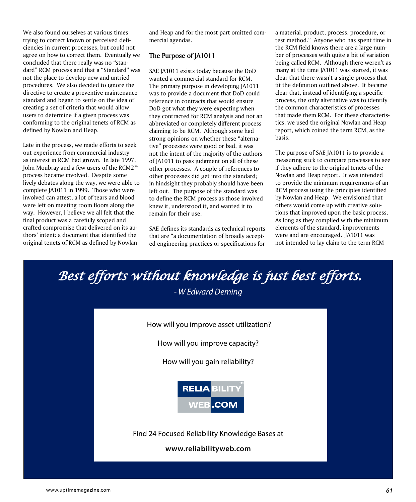We also found ourselves at various times trying to correct known or perceived deficiencies in current processes, but could not agree on how to correct them. Eventually we concluded that there really was no "standard" RCM process and that a "Standard" was not the place to develop new and untried procedures. We also decided to ignore the directive to create a preventive maintenance standard and began to settle on the idea of creating a set of criteria that would allow users to determine if a given process was conforming to the original tenets of RCM as defined by Nowlan and Heap.

Late in the process, we made efforts to seek out experience from commercial industry as interest in RCM had grown. In late 1997, John Moubray and a few users of the RCM2™ process became involved. Despite some lively debates along the way, we were able to complete JA1011 in 1999. Those who were involved can attest, a lot of tears and blood were left on meeting room floors along the way. However, I believe we all felt that the final product was a carefully scoped and crafted compromise that delivered on its authors' intent: a document that identified the original tenets of RCM as defined by Nowlan

and Heap and for the most part omitted commercial agendas.

#### **The Purpose of JA1011**

SAE JA1011 exists today because the DoD wanted a commercial standard for RCM. The primary purpose in developing JA1011 was to provide a document that DoD could reference in contracts that would ensure DoD got what they were expecting when they contracted for RCM analysis and not an abbreviated or completely different process claiming to be RCM. Although some had strong opinions on whether these "alternative" processes were good or bad, it was not the intent of the majority of the authors of JA1011 to pass judgment on all of these other processes. A couple of references to other processes did get into the standard; in hindsight they probably should have been left out. The purpose of the standard was to define the RCM process as those involved knew it, understood it, and wanted it to remain for their use.

SAE defines its standards as technical reports that are "a documentation of broadly accepted engineering practices or specifications for a material, product, process, procedure, or test method." Anyone who has spent time in the RCM field knows there are a large number of processes with quite a bit of variation being called RCM. Although there weren't as many at the time JA1011 was started, it was clear that there wasn't a single process that fit the definition outlined above. It became clear that, instead of identifying a specific process, the only alternative was to identify the common characteristics of processes that made them RCM. For these characteristics, we used the original Nowlan and Heap report, which coined the term RCM, as the basis.

The purpose of SAE JA1011 is to provide a measuring stick to compare processes to see if they adhere to the original tenets of the Nowlan and Heap report. It was intended to provide the minimum requirements of an RCM process using the principles identified by Nowlan and Heap. We envisioned that others would come up with creative solutions that improved upon the basic process. As long as they complied with the minimum elements of the standard, improvements were and are encouraged. JA1011 was not intended to lay claim to the term RCM

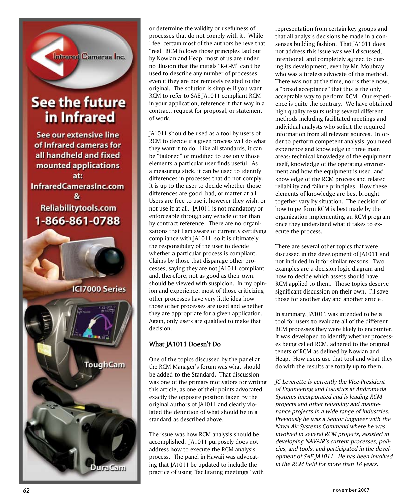

### **See the future** in Infrared

See our extensive line of Infrared cameras for all handheld and fixed mounted applications at: InfraredCamerasInc.com 8 Reliabilitytools.com 1-866-861-0788



or determine the validity or usefulness of processes that do not comply with it. While I feel certain most of the authors believe that "real" RCM follows those principles laid out by Nowlan and Heap, most of us are under no illusion that the initials "R-C-M" can't be used to describe any number of processes, even if they are not remotely related to the original. The solution is simple: if you want RCM to refer to SAE JA1011 compliant RCM in your application, reference it that way in a contract, request for proposal, or statement of work.

JA1011 should be used as a tool by users of RCM to decide if a given process will do what they want it to do. Like all standards, it can be "tailored" or modified to use only those elements a particular user finds useful. As a measuring stick, it can be used to identify differences in processes that do not comply. It is up to the user to decide whether those differences are good, bad, or matter at all. Users are free to use it however they wish, or not use it at all. JA1011 is not mandatory or enforceable through any vehicle other than by contract reference. There are no organi zations that I am aware of currently certifying compliance with JA1011, so it is ultimately the responsibility of the user to decide whether a particular process is compliant. Claims by those that disparage other pro cesses, saying they are not JA1011 compliant and, therefore, not as good as their own, should be viewed with suspicion. In my opin ion and experience, most of those criticizing other processes have very little idea how those other processes are used and whether they are appropriate for a given application. Again, only users are qualified to make that decision.

#### **What JA1011 Doesn't Do**

One of the topics discussed by the panel at the RCM Manager's forum was what should be added to the Standard. That discussion was one of the primary motivators for writing this article, as one of their points advocated exactly the opposite position taken by the original authors of JA1011 and clearly vio lated the definition of what should be in a standard as described above.

The issue was how RCM analysis should be accomplished. JA1011 purposely does not address how to execute the RCM analysis process. The panel in Hawaii was advocat ing that JA1011 be updated to include the practice of using "facilitating meetings" with representation from certain key groups and that all analysis decisions be made in a con sensus building fashion. That JA1011 does not address this issue was well discussed, intentional, and completely agreed to dur ing its development, even by Mr. Moubray, who was a tireless advocate of this method. There was not at the time, nor is there now, a "broad acceptance" that this is the only acceptable way to perform RCM. Our experi ence is quite the contrary. We have obtained high quality results using several different methods including facilitated meetings and individual analysts who solicit the required information from all relevant sources. In or der to perform competent analysis, you need experience and knowledge in three main areas: technical knowledge of the equipment itself, knowledge of the operating environ ment and how the equipment is used, and knowledge of the RCM process and related reliability and failure principles. How these elements of knowledge are best brought together vary by situation. The decision of how to perform RCM is best made by the organization implementing an RCM program once they understand what it takes to ex ecute the process.

There are several other topics that were discussed in the development of JA1011 and not included in it for similar reasons. Two examples are a decision logic diagram and how to decide which assets should have RCM applied to them. Those topics deserve significant discussion on their own. I'll save those for another day and another article.

In summary, JA1011 was intended to be a tool for users to evaluate all of the different RCM processes they were likely to encounter. It was developed to identify whether process es being called RCM, adhered to the original tenets of RCM as defined by Nowlan and Heap. How users use that tool and what they do with the results are totally up to them.

*JC Leverette is currently the Vice-President of Engineering and Logistics at Andromeda Systems Incorporated and is leading RCM projects and other reliability and mainte nance projects in a wide range of industries. Previously he was a Senior Engineer with the Naval Air Systems Command where he was involved in several RCM projects, assisted in developing NAVAIR's current processes, poli cies, and tools, and participated in the devel opment of SAE JA1011. He has been involved in the RCM field for more than 18 years.*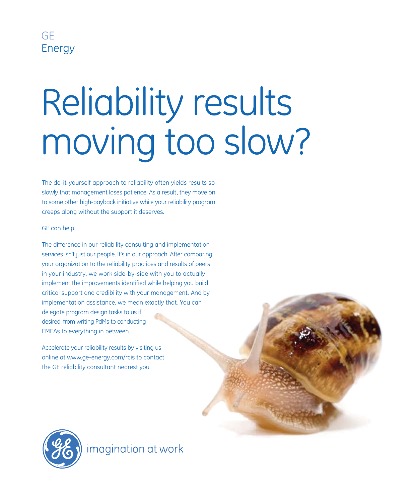

# Reliability results moving too slow?

The do-it-yourself approach to reliability often yields results so slowly that management loses patience. As a result, they move on to some other high-payback initiative while your reliability program creeps along without the support it deserves.

#### GE can help.

The difference in our reliability consulting and implementation services isn't just our people. It's in our approach. After comparing your organization to the reliability practices and results of peers in your industry, we work side-by-side with you to actually implement the improvements identified while helping you build critical support and credibility with your management. And by implementation assistance, we mean exactly that. You can delegate program design tasks to us if desired, from writing PdMs to conducting FMEAs to everything in between.

Accelerate your reliability results by visiting us online at www.ge-energy.com/rcis to contact the GE reliability consultant nearest you.



imagination at work